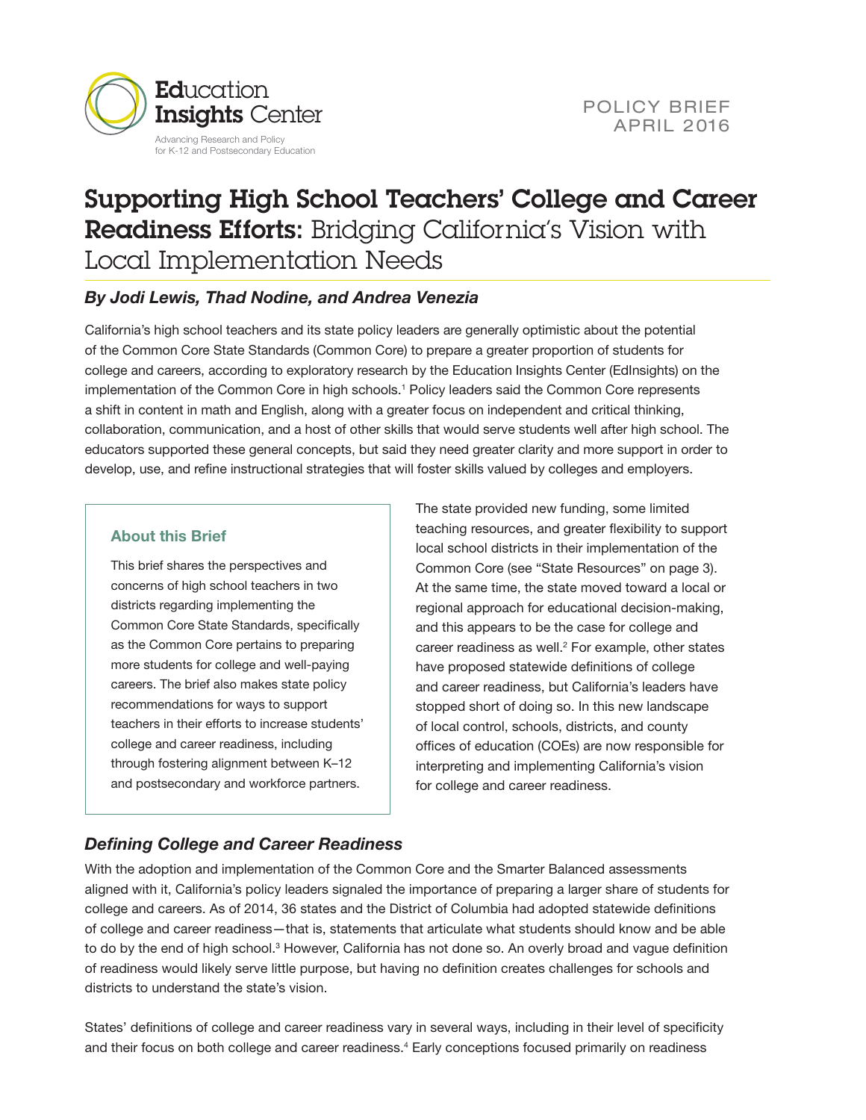

# Supporting High School Teachers' College and Career Readiness Efforts: Bridging California's Vision with Local Implementation Needs

### *By Jodi Lewis, Thad Nodine, and Andrea Venezia*

California's high school teachers and its state policy leaders are generally optimistic about the potential of the Common Core State Standards (Common Core) to prepare a greater proportion of students for college and careers, according to exploratory research by the Education Insights Center (EdInsights) on the implementation of the Common Core in high schools.<sup>[1](#page-7-0)</sup> Policy leaders said the Common Core represents a shift in content in math and English, along with a greater focus on independent and critical thinking, collaboration, communication, and a host of other skills that would serve students well after high school. The educators supported these general concepts, but said they need greater clarity and more support in order to develop, use, and refine instructional strategies that will foster skills valued by colleges and employers.

#### **About this Brief**

This brief shares the perspectives and concerns of high school teachers in two districts regarding implementing the Common Core State Standards, specifically as the Common Core pertains to preparing more students for college and well-paying careers. The brief also makes state policy recommendations for ways to support teachers in their efforts to increase students' college and career readiness, including through fostering alignment between K–12 and postsecondary and workforce partners.

The state provided new funding, some limited teaching resources, and greater flexibility to support local school districts in their implementation of the Common Core (see "State Resources" on page 3). At the same time, the state moved toward a local or regional approach for educational decision-making, and this appears to be the case for college and career readiness as well. $2$  For example, other states have proposed statewide definitions of college and career readiness, but California's leaders have stopped short of doing so. In this new landscape of local control, schools, districts, and county offices of education (COEs) are now responsible for interpreting and implementing California's vision for college and career readiness.

## *Defining College and Career Readiness*

With the adoption and implementation of the Common Core and the Smarter Balanced assessments aligned with it, California's policy leaders signaled the importance of preparing a larger share of students for college and careers. As of 2014, 36 states and the District of Columbia had adopted statewide definitions of college and career readiness—that is, statements that articulate what students should know and be able to do by the end of high school.<sup>[3](#page-7-2)</sup> However, California has not done so. An overly broad and vague definition of readiness would likely serve little purpose, but having no definition creates challenges for schools and districts to understand the state's vision.

States' definitions of college and career readiness vary in several ways, including in their level of specificity and their focus on both college and career readiness.<sup>[4](#page-7-3)</sup> Early conceptions focused primarily on readiness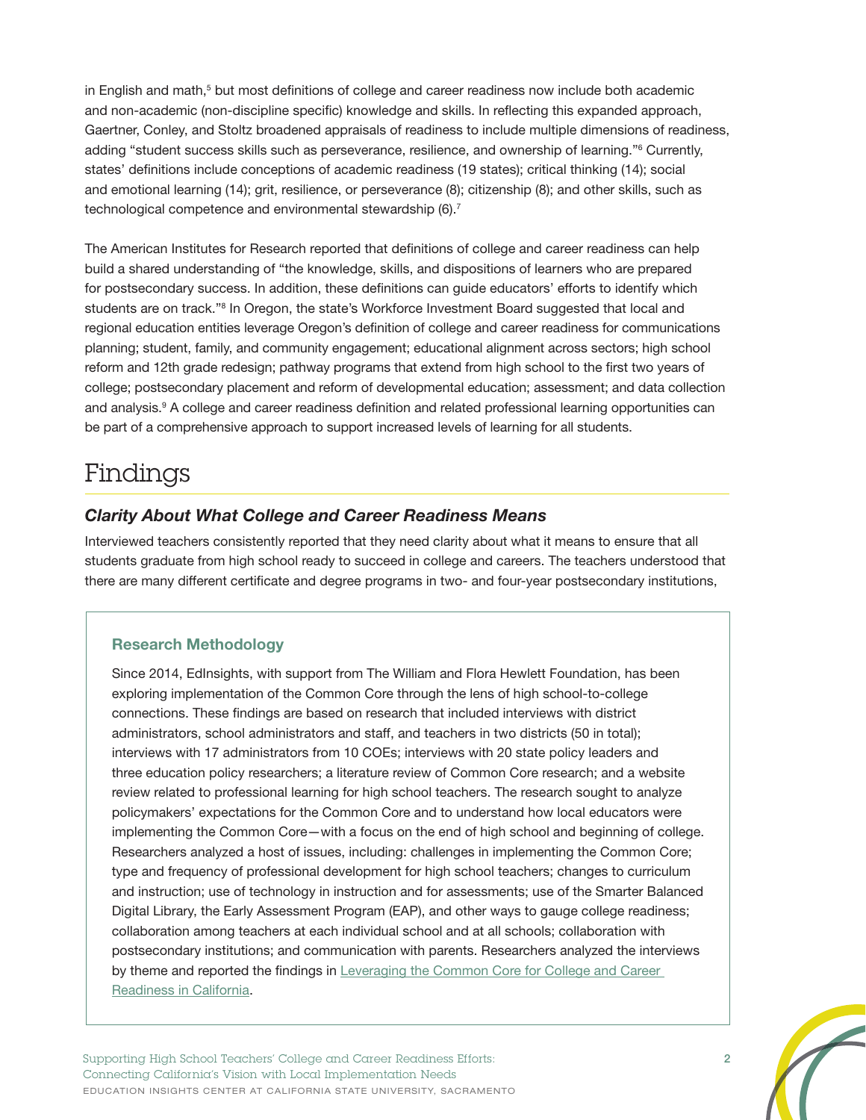in English and math, $5$  but most definitions of college and career readiness now include both academic and non-academic (non-discipline specific) knowledge and skills. In reflecting this expanded approach, Gaertner, Conley, and Stoltz broadened appraisals of readiness to include multiple dimensions of readiness, adding "student success skills such as perseverance, resilience, and ownership of learning."<sup>6</sup> Currently, states' definitions include conceptions of academic readiness (19 states); critical thinking (14); social and emotional learning (14); grit, resilience, or perseverance (8); citizenship (8); and other skills, such as technological competence and environmental stewardship (6).<sup>[7](#page-7-6)</sup>

The American Institutes for Research reported that definitions of college and career readiness can help build a shared understanding of "the knowledge, skills, and dispositions of learners who are prepared for postsecondary success. In addition, these definitions can guide educators' efforts to identify which students are on track."<sup>[8](#page-7-7)</sup> In Oregon, the state's Workforce Investment Board suggested that local and regional education entities leverage Oregon's definition of college and career readiness for communications planning; student, family, and community engagement; educational alignment across sectors; high school reform and 12th grade redesign; pathway programs that extend from high school to the first two years of college; postsecondary placement and reform of developmental education; assessment; and data collection and analysis.[9](#page-7-8) A college and career readiness definition and related professional learning opportunities can be part of a comprehensive approach to support increased levels of learning for all students.

# Findings

### *Clarity About What College and Career Readiness Means*

Interviewed teachers consistently reported that they need clarity about what it means to ensure that all students graduate from high school ready to succeed in college and careers. The teachers understood that there are many different certificate and degree programs in two- and four-year postsecondary institutions,

#### **Research Methodology**

Since 2014, EdInsights, with support from The William and Flora Hewlett Foundation, has been exploring implementation of the Common Core through the lens of high school-to-college connections. These findings are based on research that included interviews with district administrators, school administrators and staff, and teachers in two districts (50 in total); interviews with 17 administrators from 10 COEs; interviews with 20 state policy leaders and three education policy researchers; a literature review of Common Core research; and a website review related to professional learning for high school teachers. The research sought to analyze policymakers' expectations for the Common Core and to understand how local educators were implementing the Common Core—with a focus on the end of high school and beginning of college. Researchers analyzed a host of issues, including: challenges in implementing the Common Core; type and frequency of professional development for high school teachers; changes to curriculum and instruction; use of technology in instruction and for assessments; use of the Smarter Balanced Digital Library, the Early Assessment Program (EAP), and other ways to gauge college readiness; collaboration among teachers at each individual school and at all schools; collaboration with postsecondary institutions; and communication with parents. Researchers analyzed the interviews by theme and reported the findings in [Leveraging the Common Core for College and Career](http://edinsightscenter.org/Publications/ctl/ArticleView/mid/421/articleId/1007/Leveraging-the-Common-Core-for-College-and-Career-Readiness-in-California)  [Readiness in California](http://edinsightscenter.org/Publications/ctl/ArticleView/mid/421/articleId/1007/Leveraging-the-Common-Core-for-College-and-Career-Readiness-in-California).

Supporting High School Teachers' College and Career Readiness Efforts: 2 Connecting California's Vision with Local Implementation Needs EDUCATION INSIGHTS CENTER AT CALIFORNIA STATE UNIVERSITY, SACRAMENTO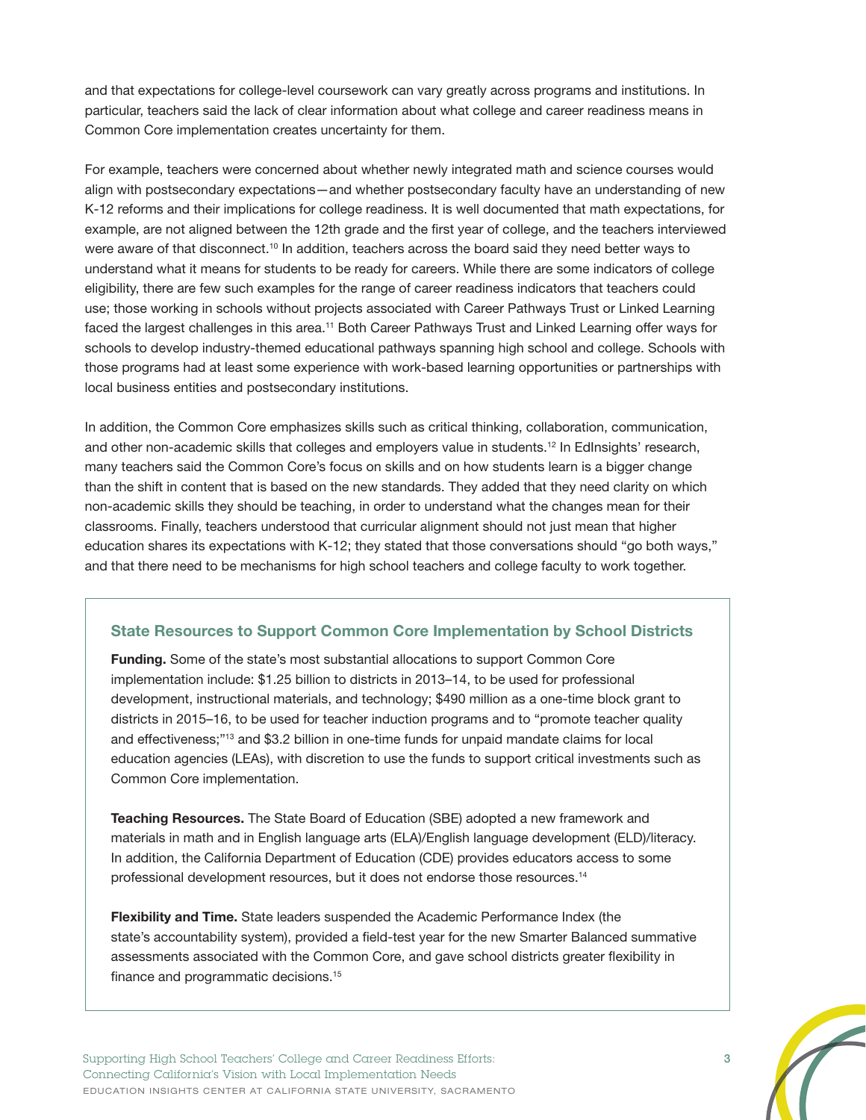and that expectations for college-level coursework can vary greatly across programs and institutions. In particular, teachers said the lack of clear information about what college and career readiness means in Common Core implementation creates uncertainty for them.

For example, teachers were concerned about whether newly integrated math and science courses would align with postsecondary expectations—and whether postsecondary faculty have an understanding of new K-12 reforms and their implications for college readiness. It is well documented that math expectations, for example, are not aligned between the 12th grade and the first year of college, and the teachers interviewed were aware of that disconnect.<sup>10</sup> In addition, teachers across the board said they need better ways to understand what it means for students to be ready for careers. While there are some indicators of college eligibility, there are few such examples for the range of career readiness indicators that teachers could use; those working in schools without projects associated with Career Pathways Trust or Linked Learning faced the largest challenges in this area.<sup>11</sup> Both Career Pathways Trust and Linked Learning offer ways for schools to develop industry-themed educational pathways spanning high school and college. Schools with those programs had at least some experience with work-based learning opportunities or partnerships with local business entities and postsecondary institutions.

In addition, the Common Core emphasizes skills such as critical thinking, collaboration, communication, and other non-academic skills that colleges and employers value in students.<sup>12</sup> In EdInsights' research, many teachers said the Common Core's focus on skills and on how students learn is a bigger change than the shift in content that is based on the new standards. They added that they need clarity on which non-academic skills they should be teaching, in order to understand what the changes mean for their classrooms. Finally, teachers understood that curricular alignment should not just mean that higher education shares its expectations with K-12; they stated that those conversations should "go both ways," and that there need to be mechanisms for high school teachers and college faculty to work together.

#### **State Resources to Support Common Core Implementation by School Districts**

**Funding.** Some of the state's most substantial allocations to support Common Core implementation include: \$1.25 billion to districts in 2013–14, to be used for professional development, instructional materials, and technology; \$490 million as a one-time block grant to districts in 2015–16, to be used for teacher induction programs and to "promote teacher quality and effectiveness;["13](#page-7-12) and \$3.2 billion in one-time funds for unpaid mandate claims for local education agencies (LEAs), with discretion to use the funds to support critical investments such as Common Core implementation.

**Teaching Resources.** The State Board of Education (SBE) adopted a new framework and materials in math and in English language arts (ELA)/English language development (ELD)/literacy. In addition, the California Department of Education (CDE) provides educators access to some professional development resources, but it does not endorse those resources.<sup>14</sup>

**Flexibility and Time.** State leaders suspended the Academic Performance Index (the state's accountability system), provided a field-test year for the new Smarter Balanced summative assessments associated with the Common Core, and gave school districts greater flexibility in finance and programmatic decisions[.15](#page-7-14)

Supporting High School Teachers' College and Career Readiness Efforts: 3 Connecting California's Vision with Local Implementation Needs EDUCATION INSIGHTS CENTER AT CALIFORNIA STATE UNIVERSITY, SACRAMENTO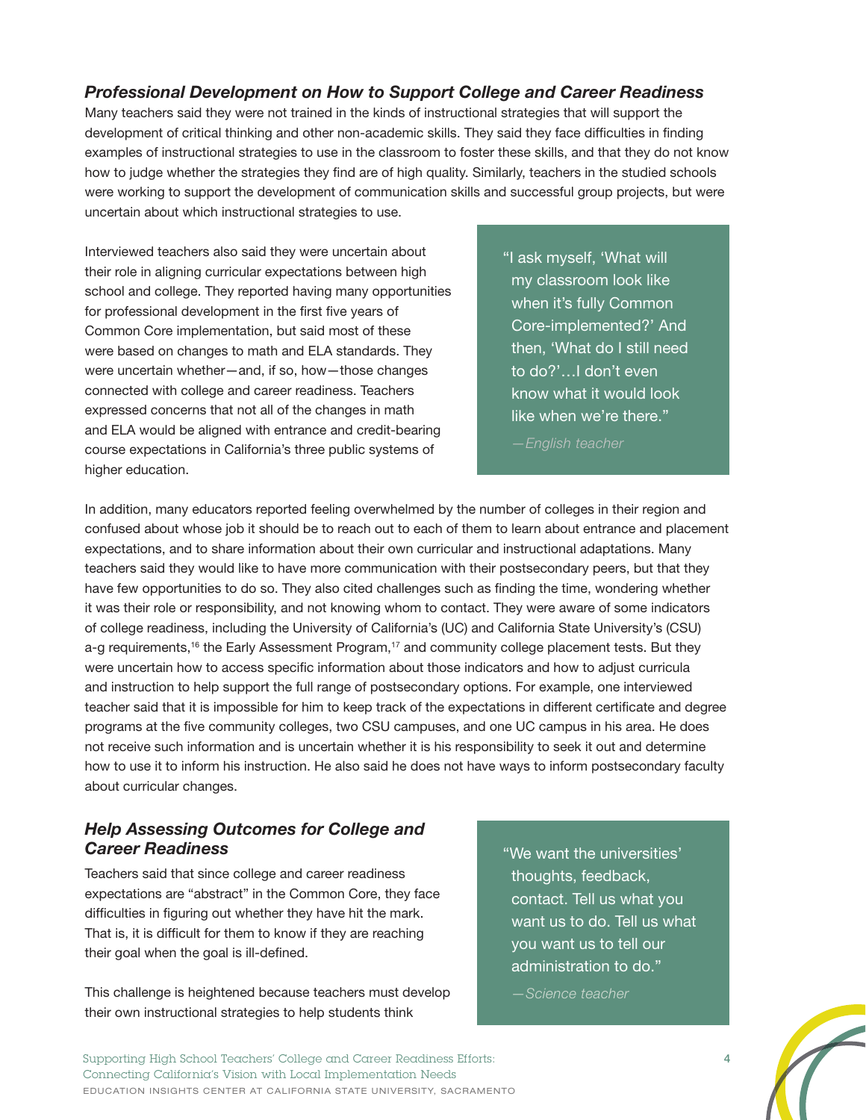### *Professional Development on How to Support College and Career Readiness*

Many teachers said they were not trained in the kinds of instructional strategies that will support the development of critical thinking and other non-academic skills. They said they face difficulties in finding examples of instructional strategies to use in the classroom to foster these skills, and that they do not know how to judge whether the strategies they find are of high quality. Similarly, teachers in the studied schools were working to support the development of communication skills and successful group projects, but were uncertain about which instructional strategies to use.

Interviewed teachers also said they were uncertain about their role in aligning curricular expectations between high school and college. They reported having many opportunities for professional development in the first five years of Common Core implementation, but said most of these were based on changes to math and ELA standards. They were uncertain whether—and, if so, how—those changes connected with college and career readiness. Teachers expressed concerns that not all of the changes in math and ELA would be aligned with entrance and credit-bearing course expectations in California's three public systems of higher education.

"I ask myself, 'What will my classroom look like when it's fully Common Core-implemented?' And then, 'What do I still need to do?'…I don't even know what it would look like when we're there."

*—English teacher*

In addition, many educators reported feeling overwhelmed by the number of colleges in their region and confused about whose job it should be to reach out to each of them to learn about entrance and placement expectations, and to share information about their own curricular and instructional adaptations. Many teachers said they would like to have more communication with their postsecondary peers, but that they have few opportunities to do so. They also cited challenges such as finding the time, wondering whether it was their role or responsibility, and not knowing whom to contact. They were aware of some indicators of college readiness, including the University of California's (UC) and California State University's (CSU) a-g requirements,<sup>[16](#page-7-15)</sup> the Early Assessment Program,<sup>17</sup> and community college placement tests. But they were uncertain how to access specific information about those indicators and how to adjust curricula and instruction to help support the full range of postsecondary options. For example, one interviewed teacher said that it is impossible for him to keep track of the expectations in different certificate and degree programs at the five community colleges, two CSU campuses, and one UC campus in his area. He does not receive such information and is uncertain whether it is his responsibility to seek it out and determine how to use it to inform his instruction. He also said he does not have ways to inform postsecondary faculty about curricular changes.

### *Help Assessing Outcomes for College and Career Readiness*

Teachers said that since college and career readiness expectations are "abstract" in the Common Core, they face difficulties in figuring out whether they have hit the mark. That is, it is difficult for them to know if they are reaching their goal when the goal is ill-defined.

This challenge is heightened because teachers must develop their own instructional strategies to help students think

"We want the universities' thoughts, feedback, contact. Tell us what you want us to do. Tell us what you want us to tell our administration to do."

*—Science teacher*

Supporting High School Teachers' College and Career Readiness Efforts: 4 Connecting California's Vision with Local Implementation Needs EDUCATION INSIGHTS CENTER AT CALIFORNIA STATE UNIVERSITY, SACRAMENTO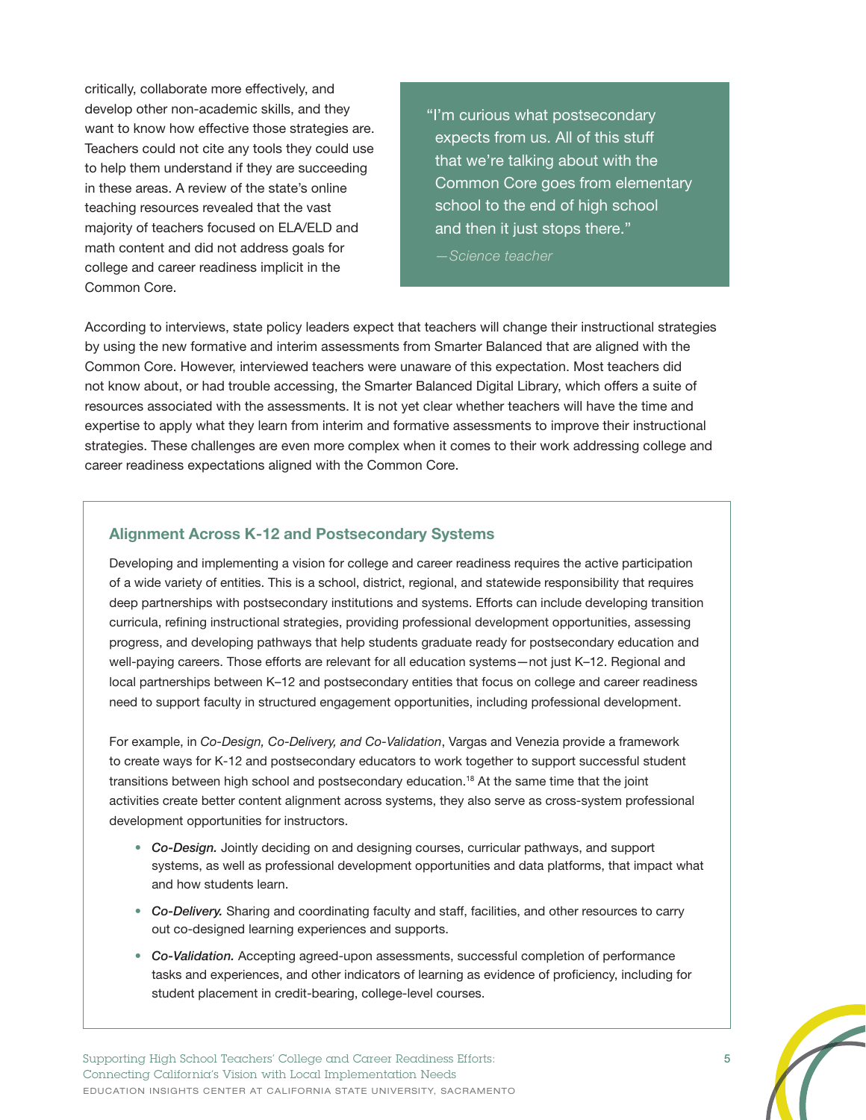critically, collaborate more effectively, and develop other non-academic skills, and they want to know how effective those strategies are. Teachers could not cite any tools they could use to help them understand if they are succeeding in these areas. A review of the state's online teaching resources revealed that the vast majority of teachers focused on ELA/ELD and math content and did not address goals for college and career readiness implicit in the Common Core.

"I'm curious what postsecondary expects from us. All of this stuff that we're talking about with the Common Core goes from elementary school to the end of high school and then it just stops there."

*—Science teacher*

According to interviews, state policy leaders expect that teachers will change their instructional strategies by using the new formative and interim assessments from Smarter Balanced that are aligned with the Common Core. However, interviewed teachers were unaware of this expectation. Most teachers did not know about, or had trouble accessing, the Smarter Balanced Digital Library, which offers a suite of resources associated with the assessments. It is not yet clear whether teachers will have the time and expertise to apply what they learn from interim and formative assessments to improve their instructional strategies. These challenges are even more complex when it comes to their work addressing college and career readiness expectations aligned with the Common Core.

#### **Alignment Across K-12 and Postsecondary Systems**

Developing and implementing a vision for college and career readiness requires the active participation of a wide variety of entities. This is a school, district, regional, and statewide responsibility that requires deep partnerships with postsecondary institutions and systems. Efforts can include developing transition curricula, refining instructional strategies, providing professional development opportunities, assessing progress, and developing pathways that help students graduate ready for postsecondary education and well-paying careers. Those efforts are relevant for all education systems—not just K–12. Regional and local partnerships between K–12 and postsecondary entities that focus on college and career readiness need to support faculty in structured engagement opportunities, including professional development.

For example, in *Co-Design, Co-Delivery, and Co-Validation*, Vargas and Venezia provide a framework to create ways for K-12 and postsecondary educators to work together to support successful student transitions between high school and postsecondary education.<sup>18</sup> At the same time that the joint activities create better content alignment across systems, they also serve as cross-system professional development opportunities for instructors.

- *• Co-Design.* Jointly deciding on and designing courses, curricular pathways, and support systems, as well as professional development opportunities and data platforms, that impact what and how students learn.
- *• Co-Delivery.* Sharing and coordinating faculty and staff, facilities, and other resources to carry out co-designed learning experiences and supports.
- *• Co-Validation.* Accepting agreed-upon assessments, successful completion of performance tasks and experiences, and other indicators of learning as evidence of proficiency, including for student placement in credit-bearing, college-level courses.

Supporting High School Teachers' College and Career Readiness Efforts: 5 Connecting California's Vision with Local Implementation Needs EDUCATION INSIGHTS CENTER AT CALIFORNIA STATE UNIVERSITY, SACRAMENTO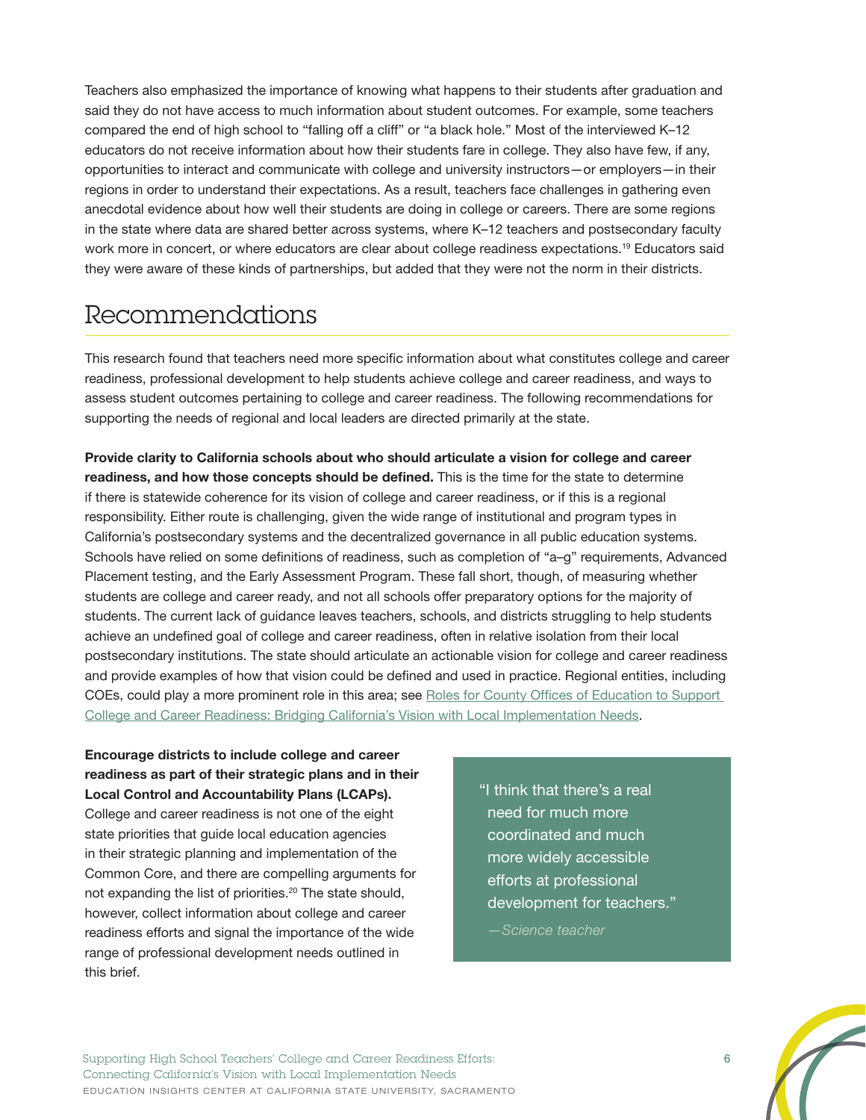Teachers also emphasized the importance of knowing what happens to their students after graduation and said they do not have access to much information about student outcomes. For example, some teachers compared the end of high school to "falling off a cliff" or "a black hole." Most of the interviewed K–12 educators do not receive information about how their students fare in college. They also have few, if any, opportunities to interact and communicate with college and university instructors—or employers—in their regions in order to understand their expectations. As a result, teachers face challenges in gathering even anecdotal evidence about how well their students are doing in college or careers. There are some regions in the state where data are shared better across systems, where K–12 teachers and postsecondary faculty work more in concert, or where educators are clear about college readiness expectations.<sup>[19](#page-7-18)</sup> Educators said they were aware of these kinds of partnerships, but added that they were not the norm in their districts.

# Recommendations

This research found that teachers need more specific information about what constitutes college and career readiness, professional development to help students achieve college and career readiness, and ways to assess student outcomes pertaining to college and career readiness. The following recommendations for supporting the needs of regional and local leaders are directed primarily at the state.

**Provide clarity to California schools about who should articulate a vision for college and career readiness, and how those concepts should be defined.** This is the time for the state to determine if there is statewide coherence for its vision of college and career readiness, or if this is a regional responsibility. Either route is challenging, given the wide range of institutional and program types in California's postsecondary systems and the decentralized governance in all public education systems. Schools have relied on some definitions of readiness, such as completion of "a–g" requirements, Advanced Placement testing, and the Early Assessment Program. These fall short, though, of measuring whether students are college and career ready, and not all schools offer preparatory options for the majority of students. The current lack of guidance leaves teachers, schools, and districts struggling to help students achieve an undefined goal of college and career readiness, often in relative isolation from their local postsecondary institutions. The state should articulate an actionable vision for college and career readiness and provide examples of how that vision could be defined and used in practice. Regional entities, including COEs, could play a more prominent role in this area; see [Roles for County Offices of Education to Support](http://edinsightscenter.org/Publications/ctl/ArticleView/mid/421/articleId/2178/Roles-for-County-Offices-of-Education-to-Support-College-and-Career-Readiness-Bridging-Californias-Vision-with-Local-Implementation-Needs)  [College and Career Readiness: Bridging California's Vision with Local Implementation Needs.](http://edinsightscenter.org/Publications/ctl/ArticleView/mid/421/articleId/2178/Roles-for-County-Offices-of-Education-to-Support-College-and-Career-Readiness-Bridging-Californias-Vision-with-Local-Implementation-Needs)

**Encourage districts to include college and career readiness as part of their strategic plans and in their Local Control and Accountability Plans (LCAPs).**

College and career readiness is not one of the eight state priorities that guide local education agencies in their strategic planning and implementation of the Common Core, and there are compelling arguments for not expanding the list of priorities.<sup>20</sup> The state should, however, collect information about college and career readiness efforts and signal the importance of the wide range of professional development needs outlined in this brief.

"I think that there's a real need for much more coordinated and much more widely accessible efforts at professional development for teachers."

*—Science teacher*

Supporting High School Teachers' College and Career Readiness Efforts: 6 Connecting California's Vision with Local Implementation Needs EDUCATION INSIGHTS CENTER AT CALIFORNIA STATE UNIVERSITY, SACRAMENTO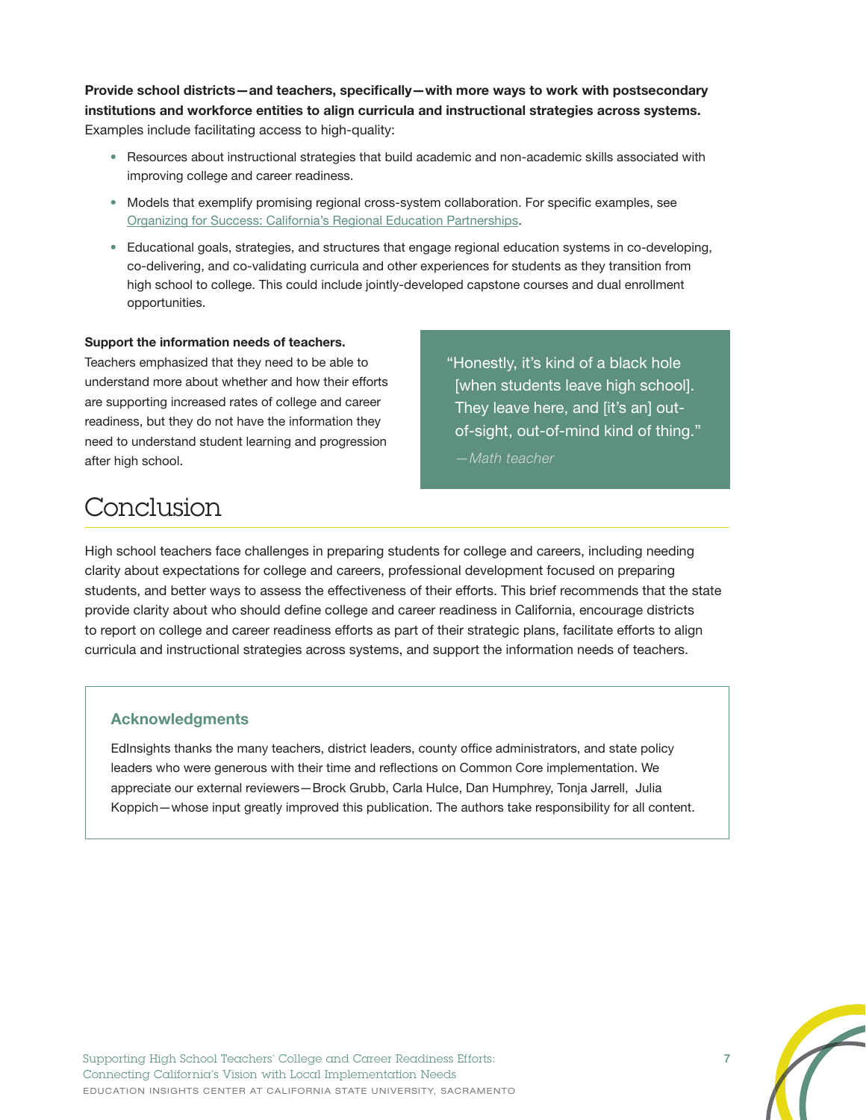**Provide school districts—and teachers, specifically—with more ways to work with postsecondary institutions and workforce entities to align curricula and instructional strategies across systems.** Examples include facilitating access to high-quality:

- Resources about instructional strategies that build academic and non-academic skills associated with improving college and career readiness.
- Models that exemplify promising regional cross-system collaboration. For specific examples, see [Organizing for Success: California's Regional Education Partnerships.](http://edinsightscenter.org/Publications/ctl/ArticleView/mid/421/articleId/1008/Organizing-for-Success-Californias-Regional-Education-Partnerships)
- Educational goals, strategies, and structures that engage regional education systems in co-developing, co-delivering, and co-validating curricula and other experiences for students as they transition from high school to college. This could include jointly-developed capstone courses and dual enrollment opportunities.

#### **Support the information needs of teachers.**

Teachers emphasized that they need to be able to understand more about whether and how their efforts are supporting increased rates of college and career readiness, but they do not have the information they need to understand student learning and progression after high school.

"Honestly, it's kind of a black hole [when students leave high school]. They leave here, and [it's an] outof-sight, out-of-mind kind of thing."

*—Math teacher*

## Conclusion

High school teachers face challenges in preparing students for college and careers, including needing clarity about expectations for college and careers, professional development focused on preparing students, and better ways to assess the effectiveness of their efforts. This brief recommends that the state provide clarity about who should define college and career readiness in California, encourage districts to report on college and career readiness efforts as part of their strategic plans, facilitate efforts to align curricula and instructional strategies across systems, and support the information needs of teachers.

#### **Acknowledgments**

EdInsights thanks the many teachers, district leaders, county office administrators, and state policy leaders who were generous with their time and reflections on Common Core implementation. We appreciate our external reviewers—Brock Grubb, Carla Hulce, Dan Humphrey, Tonja Jarrell, Julia Koppich—whose input greatly improved this publication. The authors take responsibility for all content.